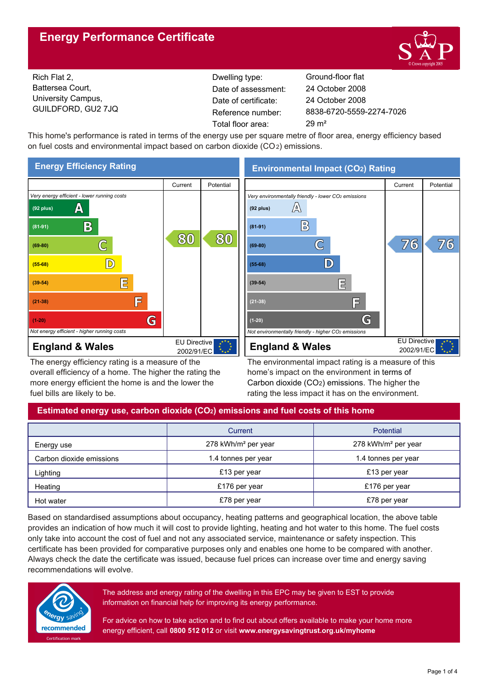# **Energy Performance Certificate**



Rich Flat 2, Battersea Court, University Campus, GUILDFORD, GU2 7JQ

Dwelling type: Ground-floor flat Date of certificate: Total floor area: 29 m² Date of assessment:

8838-6720-5559-2274-7026 24 October 2008 24 October 2008

This home's performance is rated in terms of the energy use per square metre of floor area, energy efficiency based on fuel costs and environmental impact based on carbon dioxide (CO2) emissions.



The energy efficiency rating is a measure of the overall efficiency of a home. The higher the rating the more energy efficient the home is and the lower the fuel bills are likely to be.

# **Environmental Impact (CO2) Rating**



The environmental impact rating is a measure of this home's impact on the environment in terms of Carbon dioxide (CO2) emissions. The higher the rating the less impact it has on the environment.

# **Estimated energy use, carbon dioxide (CO2) emissions and fuel costs of this home**

|                          | Current                         | Potential                       |  |
|--------------------------|---------------------------------|---------------------------------|--|
| Energy use               | 278 kWh/m <sup>2</sup> per year | 278 kWh/m <sup>2</sup> per year |  |
| Carbon dioxide emissions | 1.4 tonnes per year             | 1.4 tonnes per year             |  |
| Lighting                 | £13 per year                    | £13 per year                    |  |
| Heating                  | £176 per year                   | £176 per year                   |  |
| Hot water                | £78 per year                    | £78 per year                    |  |

Based on standardised assumptions about occupancy, heating patterns and geographical location, the above table provides an indication of how much it will cost to provide lighting, heating and hot water to this home. The fuel costs only take into account the cost of fuel and not any associated service, maintenance or safety inspection. This certificate has been provided for comparative purposes only and enables one home to be compared with another. Always check the date the certificate was issued, because fuel prices can increase over time and energy saving recommendations will evolve.



The address and energy rating of the dwelling in this EPC may be given to EST to provide information on financial help for improving its energy performance.

For advice on how to take action and to find out about offers available to make your home more energy efficient, call **0800 512 012** or visit **www.energysavingtrust.org.uk/myhome**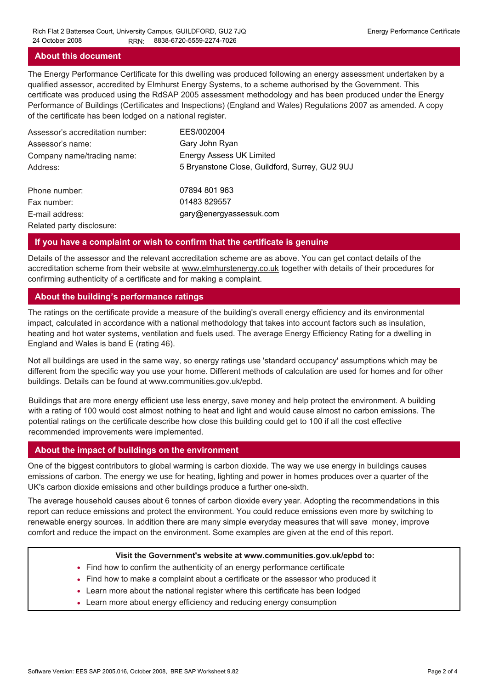### **About this document**

The Energy Performance Certificate for this dwelling was produced following an energy assessment undertaken by a qualified assessor, accredited by Elmhurst Energy Systems, to a scheme authorised by the Government. This certificate was produced using the RdSAP 2005 assessment methodology and has been produced under the Energy Performance of Buildings (Certificates and Inspections) (England and Wales) Regulations 2007 as amended. A copy of the certificate has been lodged on a national register.

| Assessor's accreditation number: | EES/002004                                     |
|----------------------------------|------------------------------------------------|
| Assessor's name:                 | Gary John Ryan                                 |
| Company name/trading name:       | <b>Energy Assess UK Limited</b>                |
| Address:                         | 5 Bryanstone Close, Guildford, Surrey, GU2 9UJ |
| Phone number:                    | 07894 801 963                                  |
| Fax number:                      | 01483 829557                                   |
| E-mail address:                  | gary@energyassessuk.com                        |
| Related party disclosure:        |                                                |

### **If you have a complaint or wish to confirm that the certificate is genuine**

Details of the assessor and the relevant accreditation scheme are as above. You can get contact details of the accreditation scheme from their website at www.elmhurstenergy.co.uk together with details of their procedures for confirming authenticity of a certificate and for making a complaint.

## **About the building's performance ratings**

The ratings on the certificate provide a measure of the building's overall energy efficiency and its environmental impact, calculated in accordance with a national methodology that takes into account factors such as insulation, heating and hot water systems, ventilation and fuels used. The average Energy Efficiency Rating for a dwelling in England and Wales is band E (rating 46).

Not all buildings are used in the same way, so energy ratings use 'standard occupancy' assumptions which may be different from the specific way you use your home. Different methods of calculation are used for homes and for other buildings. Details can be found at www.communities.gov.uk/epbd.

Buildings that are more energy efficient use less energy, save money and help protect the environment. A building with a rating of 100 would cost almost nothing to heat and light and would cause almost no carbon emissions. The potential ratings on the certificate describe how close this building could get to 100 if all the cost effective recommended improvements were implemented.

## **About the impact of buildings on the environment**

One of the biggest contributors to global warming is carbon dioxide. The way we use energy in buildings causes emissions of carbon. The energy we use for heating, lighting and power in homes produces over a quarter of the UK's carbon dioxide emissions and other buildings produce a further one-sixth.

The average household causes about 6 tonnes of carbon dioxide every year. Adopting the recommendations in this report can reduce emissions and protect the environment. You could reduce emissions even more by switching to renewable energy sources. In addition there are many simple everyday measures that will save money, improve comfort and reduce the impact on the environment. Some examples are given at the end of this report.

#### **Visit the Government's website at www.communities.gov.uk/epbd to:**

- Find how to confirm the authenticity of an energy performance certificate
- Find how to make a complaint about a certificate or the assessor who produced it •
- Learn more about the national register where this certificate has been lodged •
- Learn more about energy efficiency and reducing energy consumption •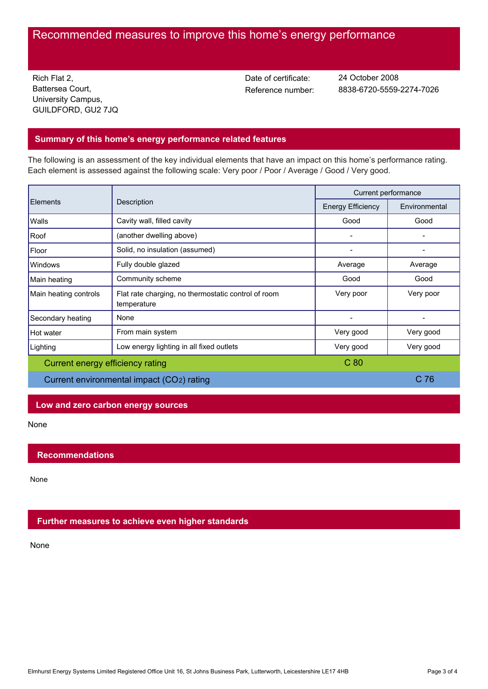# Recommended measures to improve this home's energy performance

Rich Flat 2, Battersea Court, University Campus, GUILDFORD, GU2 7JQ Date of certificate:

Reference number: 8838-6720-5559-2274-7026 24 October 2008

## **Summary of this home's energy performance related features**

The following is an assessment of the key individual elements that have an impact on this home's performance rating. Each element is assessed against the following scale: Very poor / Poor / Average / Good / Very good.

| Elements                                  | Description                                                        | Current performance      |                 |
|-------------------------------------------|--------------------------------------------------------------------|--------------------------|-----------------|
|                                           |                                                                    | <b>Energy Efficiency</b> | Environmental   |
| Walls                                     | Cavity wall, filled cavity                                         | Good                     | Good            |
| Roof                                      | (another dwelling above)                                           |                          |                 |
| Floor                                     | Solid, no insulation (assumed)                                     |                          |                 |
| Windows                                   | Fully double glazed                                                | Average                  | Average         |
| Main heating                              | Community scheme                                                   | Good                     | Good            |
| Main heating controls                     | Flat rate charging, no thermostatic control of room<br>temperature | Very poor                | Very poor       |
| Secondary heating                         | None                                                               |                          |                 |
| Hot water                                 | From main system                                                   | Very good                | Very good       |
| Lighting                                  | Low energy lighting in all fixed outlets                           | Very good                | Very good       |
| Current energy efficiency rating          |                                                                    | C <sub>80</sub>          |                 |
| Current environmental impact (CO2) rating |                                                                    |                          | C <sub>76</sub> |

## **Low and zero carbon energy sources**

None

## **Recommendations**

None

## **Further measures to achieve even higher standards**

None